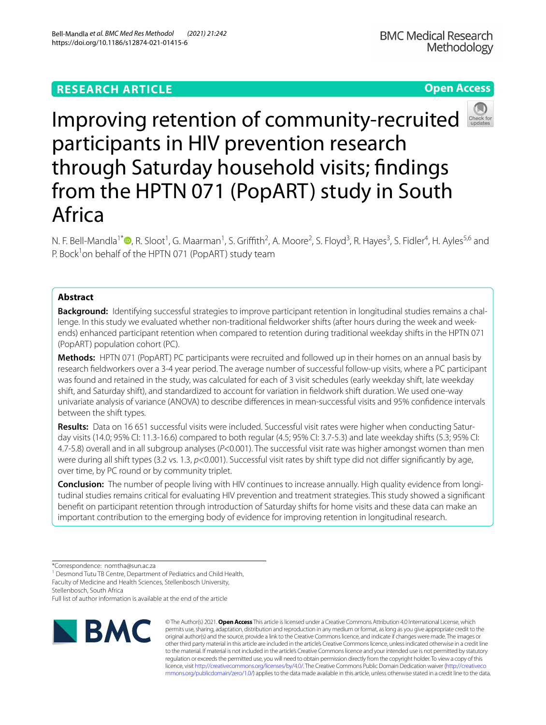## **RESEARCH ARTICLE**

**Open Access**



# Improving retention of community-recruited participants in HIV prevention research through Saturday household visits; fndings from the HPTN 071 (PopART) study in South Africa

N. F. Bell-Mandla<sup>1[\\*](http://orcid.org/0000-0001-9078-1864)</sup>®, R. Sloot<sup>1</sup>, G. Maarman<sup>1</sup>, S. Griffith<sup>2</sup>, A. Moore<sup>2</sup>, S. Floyd<sup>3</sup>, R. Hayes<sup>3</sup>, S. Fidler<sup>4</sup>, H. Ayles<sup>5,6</sup> and P. Bock<sup>1</sup>on behalf of the HPTN 071 (PopART) study team

### **Abstract**

**Background:** Identifying successful strategies to improve participant retention in longitudinal studies remains a challenge. In this study we evaluated whether non-traditional fieldworker shifts (after hours during the week and weekends) enhanced participant retention when compared to retention during traditional weekday shifts in the HPTN 071 (PopART) population cohort (PC).

**Methods:** HPTN 071 (PopART) PC participants were recruited and followed up in their homes on an annual basis by research feldworkers over a 3-4 year period. The average number of successful follow-up visits, where a PC participant was found and retained in the study, was calculated for each of 3 visit schedules (early weekday shift, late weekday shift, and Saturday shift), and standardized to account for variation in feldwork shift duration. We used one-way univariate analysis of variance (ANOVA) to describe diferences in mean-successful visits and 95% confdence intervals between the shift types.

**Results:** Data on 16 651 successful visits were included. Successful visit rates were higher when conducting Satur‑ day visits (14.0; 95% CI: 11.3-16.6) compared to both regular (4.5; 95% CI: 3.7-5.3) and late weekday shifts (5.3; 95% CI: 4.7-5.8) overall and in all subgroup analyses (*P*<0.001). The successful visit rate was higher amongst women than men were during all shift types (3.2 vs. 1.3,  $p$ <0.001). Successful visit rates by shift type did not differ significantly by age, over time, by PC round or by community triplet.

**Conclusion:** The number of people living with HIV continues to increase annually. High quality evidence from longitudinal studies remains critical for evaluating HIV prevention and treatment strategies. This study showed a signifcant beneft on participant retention through introduction of Saturday shifts for home visits and these data can make an important contribution to the emerging body of evidence for improving retention in longitudinal research.

<sup>1</sup> Desmond Tutu TB Centre, Department of Pediatrics and Child Health, Faculty of Medicine and Health Sciences, Stellenbosch University,

Full list of author information is available at the end of the article



© The Author(s) 2021. **Open Access** This article is licensed under a Creative Commons Attribution 4.0 International License, which permits use, sharing, adaptation, distribution and reproduction in any medium or format, as long as you give appropriate credit to the original author(s) and the source, provide a link to the Creative Commons licence, and indicate if changes were made. The images or other third party material in this article are included in the article's Creative Commons licence, unless indicated otherwise in a credit line to the material. If material is not included in the article's Creative Commons licence and your intended use is not permitted by statutory regulation or exceeds the permitted use, you will need to obtain permission directly from the copyright holder. To view a copy of this licence, visit [http://creativecommons.org/licenses/by/4.0/.](http://creativecommons.org/licenses/by/4.0/) The Creative Commons Public Domain Dedication waiver ([http://creativeco](http://creativecommons.org/publicdomain/zero/1.0/) [mmons.org/publicdomain/zero/1.0/](http://creativecommons.org/publicdomain/zero/1.0/)) applies to the data made available in this article, unless otherwise stated in a credit line to the data.

<sup>\*</sup>Correspondence: nomtha@sun.ac.za

Stellenbosch, South Africa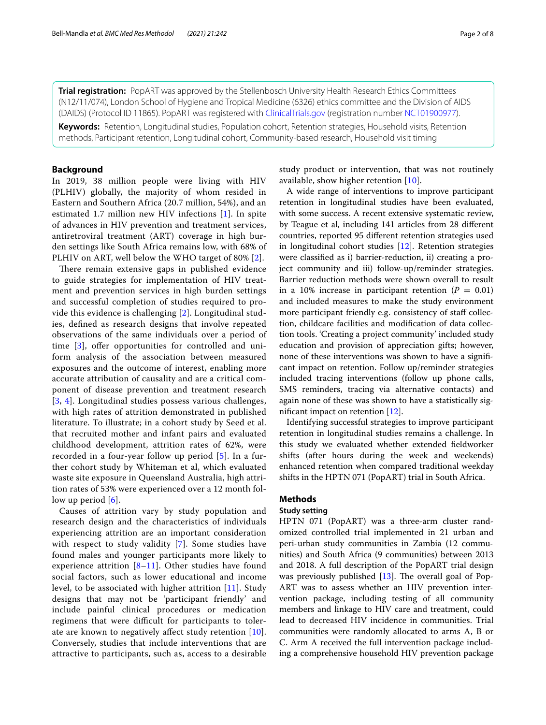**Trial registration:** PopART was approved by the Stellenbosch University Health Research Ethics Committees (N12/11/074), London School of Hygiene and Tropical Medicine (6326) ethics committee and the Division of AIDS (DAIDS) (Protocol ID 11865). PopART was registered with [ClinicalTrials.gov](http://clinicaltrials.gov) (registration number [NCT01900977\)](https://clinicaltrials.gov/ct2/show/NCT01900977).

**Keywords:** Retention, Longitudinal studies, Population cohort, Retention strategies, Household visits, Retention methods, Participant retention, Longitudinal cohort, Community-based research, Household visit timing

#### **Background**

In 2019, 38 million people were living with HIV (PLHIV) globally, the majority of whom resided in Eastern and Southern Africa (20.7 million, 54%), and an estimated 1.7 million new HIV infections [\[1\]](#page-6-0). In spite of advances in HIV prevention and treatment services, antiretroviral treatment (ART) coverage in high burden settings like South Africa remains low, with 68% of PLHIV on ART, well below the WHO target of 80% [[2\]](#page-6-1).

There remain extensive gaps in published evidence to guide strategies for implementation of HIV treatment and prevention services in high burden settings and successful completion of studies required to provide this evidence is challenging [[2\]](#page-6-1). Longitudinal studies, defned as research designs that involve repeated observations of the same individuals over a period of time  $[3]$  $[3]$ , offer opportunities for controlled and uniform analysis of the association between measured exposures and the outcome of interest, enabling more accurate attribution of causality and are a critical component of disease prevention and treatment research [[3](#page-7-0), [4\]](#page-7-1). Longitudinal studies possess various challenges, with high rates of attrition demonstrated in published literature. To illustrate; in a cohort study by Seed et al. that recruited mother and infant pairs and evaluated childhood development, attrition rates of 62%, were recorded in a four-year follow up period [\[5\]](#page-7-2). In a further cohort study by Whiteman et al, which evaluated waste site exposure in Queensland Australia, high attrition rates of 53% were experienced over a 12 month follow up period [[6](#page-7-3)].

Causes of attrition vary by study population and research design and the characteristics of individuals experiencing attrition are an important consideration with respect to study validity [\[7](#page-7-4)]. Some studies have found males and younger participants more likely to experience attrition  $[8-11]$  $[8-11]$ . Other studies have found social factors, such as lower educational and income level, to be associated with higher attrition [[11\]](#page-7-6). Study designs that may not be 'participant friendly' and include painful clinical procedures or medication regimens that were difficult for participants to tolerate are known to negatively affect study retention  $[10]$  $[10]$ . Conversely, studies that include interventions that are attractive to participants, such as, access to a desirable study product or intervention, that was not routinely available, show higher retention [[10\]](#page-7-7).

A wide range of interventions to improve participant retention in longitudinal studies have been evaluated, with some success. A recent extensive systematic review, by Teague et al, including 141 articles from 28 diferent countries, reported 95 diferent retention strategies used in longitudinal cohort studies [[12\]](#page-7-8). Retention strategies were classifed as i) barrier-reduction, ii) creating a project community and iii) follow-up/reminder strategies. Barrier reduction methods were shown overall to result in a 10% increase in participant retention  $(P = 0.01)$ and included measures to make the study environment more participant friendly e.g. consistency of staff collection, childcare facilities and modifcation of data collection tools. 'Creating a project community' included study education and provision of appreciation gifts; however, none of these interventions was shown to have a signifcant impact on retention. Follow up/reminder strategies included tracing interventions (follow up phone calls, SMS reminders, tracing via alternative contacts) and again none of these was shown to have a statistically signifcant impact on retention [[12\]](#page-7-8).

Identifying successful strategies to improve participant retention in longitudinal studies remains a challenge. In this study we evaluated whether extended feldworker shifts (after hours during the week and weekends) enhanced retention when compared traditional weekday shifts in the HPTN 071 (PopART) trial in South Africa.

#### **Methods**

#### **Study setting**

HPTN 071 (PopART) was a three-arm cluster randomized controlled trial implemented in 21 urban and peri-urban study communities in Zambia (12 communities) and South Africa (9 communities) between 2013 and 2018. A full description of the PopART trial design was previously published  $[13]$  $[13]$ . The overall goal of Pop-ART was to assess whether an HIV prevention intervention package, including testing of all community members and linkage to HIV care and treatment, could lead to decreased HIV incidence in communities. Trial communities were randomly allocated to arms A, B or C. Arm A received the full intervention package including a comprehensive household HIV prevention package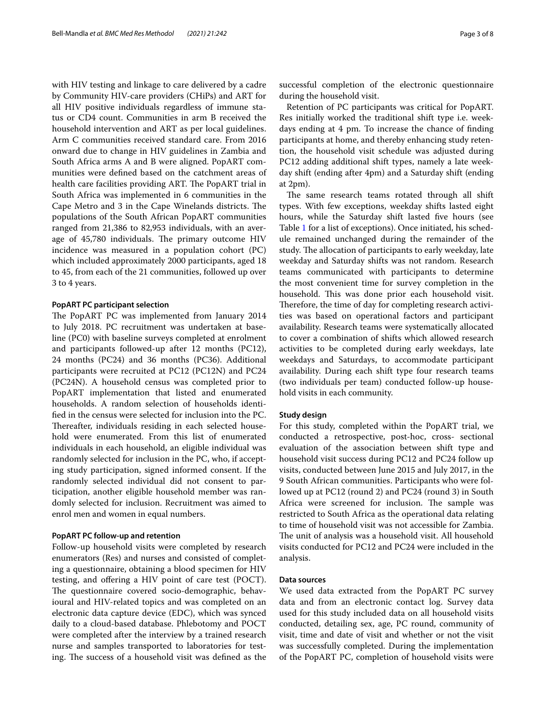with HIV testing and linkage to care delivered by a cadre by Community HIV-care providers (CHiPs) and ART for all HIV positive individuals regardless of immune status or CD4 count. Communities in arm B received the household intervention and ART as per local guidelines. Arm C communities received standard care. From 2016 onward due to change in HIV guidelines in Zambia and South Africa arms A and B were aligned. PopART communities were defned based on the catchment areas of health care facilities providing ART. The PopART trial in South Africa was implemented in 6 communities in the Cape Metro and 3 in the Cape Winelands districts. The populations of the South African PopART communities ranged from 21,386 to 82,953 individuals, with an average of 45,780 individuals. The primary outcome HIV incidence was measured in a population cohort (PC) which included approximately 2000 participants, aged 18 to 45, from each of the 21 communities, followed up over 3 to 4 years.

#### **PopART PC participant selection**

The PopART PC was implemented from January 2014 to July 2018. PC recruitment was undertaken at baseline (PC0) with baseline surveys completed at enrolment and participants followed-up after 12 months (PC12), 24 months (PC24) and 36 months (PC36). Additional participants were recruited at PC12 (PC12N) and PC24 (PC24N). A household census was completed prior to PopART implementation that listed and enumerated households. A random selection of households identifed in the census were selected for inclusion into the PC. Thereafter, individuals residing in each selected household were enumerated. From this list of enumerated individuals in each household, an eligible individual was randomly selected for inclusion in the PC, who, if accepting study participation, signed informed consent. If the randomly selected individual did not consent to participation, another eligible household member was randomly selected for inclusion. Recruitment was aimed to enrol men and women in equal numbers.

#### **PopART PC follow‑up and retention**

Follow-up household visits were completed by research enumerators (Res) and nurses and consisted of completing a questionnaire, obtaining a blood specimen for HIV testing, and ofering a HIV point of care test (POCT). The questionnaire covered socio-demographic, behavioural and HIV-related topics and was completed on an electronic data capture device (EDC), which was synced daily to a cloud-based database. Phlebotomy and POCT were completed after the interview by a trained research nurse and samples transported to laboratories for testing. The success of a household visit was defined as the

successful completion of the electronic questionnaire during the household visit.

Retention of PC participants was critical for PopART. Res initially worked the traditional shift type i.e. weekdays ending at 4 pm. To increase the chance of fnding participants at home, and thereby enhancing study retention, the household visit schedule was adjusted during PC12 adding additional shift types, namely a late weekday shift (ending after 4pm) and a Saturday shift (ending at 2pm).

The same research teams rotated through all shift types. With few exceptions, weekday shifts lasted eight hours, while the Saturday shift lasted five hours (see Table [1](#page-3-0) for a list of exceptions). Once initiated, his schedule remained unchanged during the remainder of the study. The allocation of participants to early weekday, late weekday and Saturday shifts was not random. Research teams communicated with participants to determine the most convenient time for survey completion in the household. This was done prior each household visit. Therefore, the time of day for completing research activities was based on operational factors and participant availability. Research teams were systematically allocated to cover a combination of shifts which allowed research activities to be completed during early weekdays, late weekdays and Saturdays, to accommodate participant availability. During each shift type four research teams (two individuals per team) conducted follow-up household visits in each community.

#### **Study design**

For this study, completed within the PopART trial, we conducted a retrospective, post-hoc, cross- sectional evaluation of the association between shift type and household visit success during PC12 and PC24 follow up visits, conducted between June 2015 and July 2017, in the 9 South African communities. Participants who were followed up at PC12 (round 2) and PC24 (round 3) in South Africa were screened for inclusion. The sample was restricted to South Africa as the operational data relating to time of household visit was not accessible for Zambia. The unit of analysis was a household visit. All household visits conducted for PC12 and PC24 were included in the analysis.

#### **Data sources**

We used data extracted from the PopART PC survey data and from an electronic contact log. Survey data used for this study included data on all household visits conducted, detailing sex, age, PC round, community of visit, time and date of visit and whether or not the visit was successfully completed. During the implementation of the PopART PC, completion of household visits were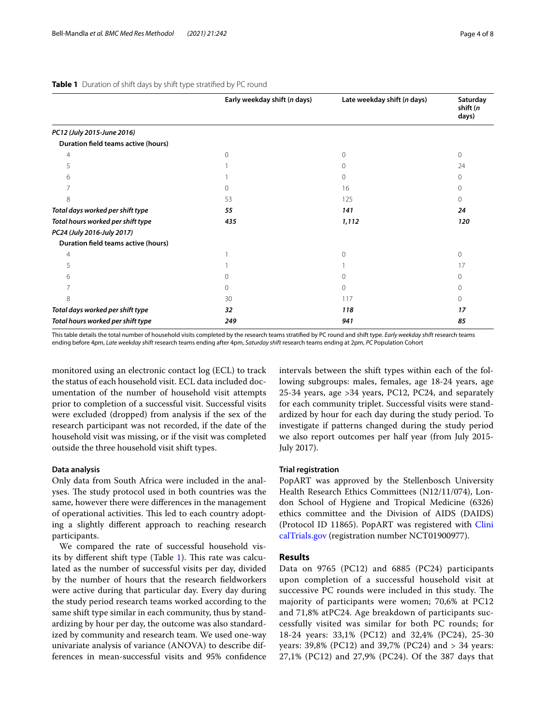|                                            | Early weekday shift (n days) | Late weekday shift (n days) | Saturday<br>shift (n<br>days) |
|--------------------------------------------|------------------------------|-----------------------------|-------------------------------|
| PC12 (July 2015-June 2016)                 |                              |                             |                               |
| Duration field teams active (hours)        |                              |                             |                               |
| 4                                          | ∩                            | $\Omega$                    | 0                             |
| 5                                          |                              | 0                           | 24                            |
| 6                                          |                              | $\Omega$                    | $\Omega$                      |
|                                            |                              | 16                          | 0                             |
| 8                                          | 53                           | 125                         | $\Omega$                      |
| Total days worked per shift type           | 55                           | 141                         | 24                            |
| Total hours worked per shift type          | 435                          | 1,112                       | 120                           |
| PC24 (July 2016-July 2017)                 |                              |                             |                               |
| <b>Duration field teams active (hours)</b> |                              |                             |                               |
| 4                                          |                              | $\Omega$                    | $\Omega$                      |
| 5                                          |                              |                             | 17                            |
| 6                                          |                              | $\Omega$                    | 0                             |
|                                            | $\Omega$                     | $\Omega$                    | $\Omega$                      |
| 8                                          | 30                           | 117                         | $\Omega$                      |
| Total days worked per shift type           | 32                           | 118                         | 17                            |
| Total hours worked per shift type          | 249                          | 941                         | 85                            |

#### <span id="page-3-0"></span>**Table 1** Duration of shift days by shift type stratified by PC round

This table details the total number of household visits completed by the research teams stratifed by PC round and shift type. *Early weekday shift* research teams ending before 4pm, *Late weekday shift* research teams ending after 4pm, *Saturday shift* research teams ending at 2pm, *PC* Population Cohort

monitored using an electronic contact log (ECL) to track the status of each household visit. ECL data included documentation of the number of household visit attempts prior to completion of a successful visit. Successful visits were excluded (dropped) from analysis if the sex of the research participant was not recorded, if the date of the household visit was missing, or if the visit was completed outside the three household visit shift types.

#### **Data analysis**

Only data from South Africa were included in the analyses. The study protocol used in both countries was the same, however there were diferences in the management of operational activities. This led to each country adopting a slightly diferent approach to reaching research participants.

We compared the rate of successful household vis-its by different shift type (Table [1\)](#page-3-0). This rate was calculated as the number of successful visits per day, divided by the number of hours that the research feldworkers were active during that particular day. Every day during the study period research teams worked according to the same shift type similar in each community, thus by standardizing by hour per day, the outcome was also standardized by community and research team. We used one-way univariate analysis of variance (ANOVA) to describe differences in mean-successful visits and 95% confdence intervals between the shift types within each of the following subgroups: males, females, age 18-24 years, age 25-34 years, age >34 years, PC12, PC24, and separately for each community triplet. Successful visits were standardized by hour for each day during the study period. To investigate if patterns changed during the study period we also report outcomes per half year (from July 2015- July 2017).

#### **Trial registration**

PopART was approved by the Stellenbosch University Health Research Ethics Committees (N12/11/074), London School of Hygiene and Tropical Medicine (6326) ethics committee and the Division of AIDS (DAIDS) (Protocol ID 11865). PopART was registered with [Clini](http://clinicaltrials.gov) [calTrials.gov](http://clinicaltrials.gov) (registration number NCT01900977).

#### **Results**

Data on 9765 (PC12) and 6885 (PC24) participants upon completion of a successful household visit at successive PC rounds were included in this study. The majority of participants were women; 70,6% at PC12 and 71,8% atPC24. Age breakdown of participants successfully visited was similar for both PC rounds; for 18-24 years: 33,1% (PC12) and 32,4% (PC24), 25-30 years: 39,8% (PC12) and 39,7% (PC24) and > 34 years: 27,1% (PC12) and 27,9% (PC24). Of the 387 days that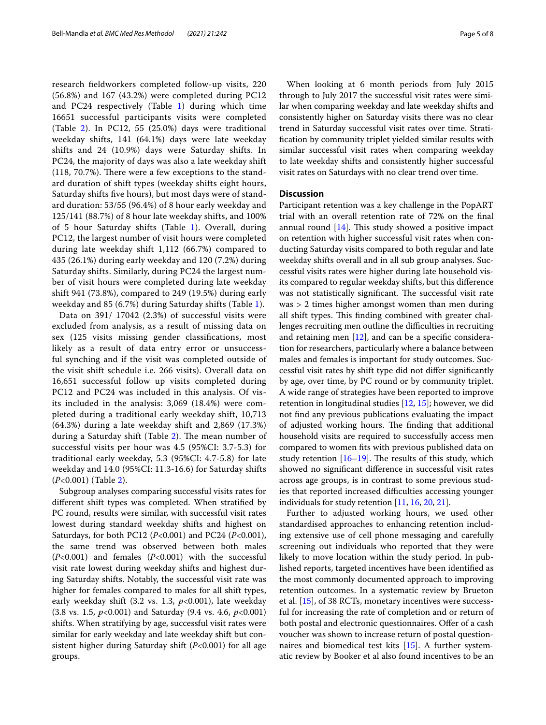research feldworkers completed follow-up visits, 220 (56.8%) and 167 (43.2%) were completed during PC12 and PC24 respectively (Table [1](#page-3-0)) during which time 16651 successful participants visits were completed (Table [2\)](#page-5-0). In PC12, 55 (25.0%) days were traditional weekday shifts, 141 (64.1%) days were late weekday shifts and 24 (10.9%) days were Saturday shifts. In PC24, the majority of days was also a late weekday shift  $(118, 70.7%)$ . There were a few exceptions to the standard duration of shift types (weekday shifts eight hours, Saturday shifts fve hours), but most days were of standard duration: 53/55 (96.4%) of 8 hour early weekday and 125/141 (88.7%) of 8 hour late weekday shifts, and 100% of 5 hour Saturday shifts (Table [1\)](#page-3-0). Overall, during PC12, the largest number of visit hours were completed during late weekday shift 1,112 (66.7%) compared to 435 (26.1%) during early weekday and 120 (7.2%) during Saturday shifts. Similarly, during PC24 the largest number of visit hours were completed during late weekday shift 941 (73.8%), compared to 249 (19.5%) during early weekday and 85 (6.7%) during Saturday shifts (Table [1](#page-3-0)).

Data on 391/ 17042 (2.3%) of successful visits were excluded from analysis, as a result of missing data on sex (125 visits missing gender classifcations, most likely as a result of data entry error or unsuccessful synching and if the visit was completed outside of the visit shift schedule i.e. 266 visits). Overall data on 16,651 successful follow up visits completed during PC12 and PC24 was included in this analysis. Of visits included in the analysis: 3,069 (18.4%) were completed during a traditional early weekday shift, 10,713 (64.3%) during a late weekday shift and 2,869 (17.3%) during a Saturday shift (Table [2](#page-5-0)). The mean number of successful visits per hour was 4.5 (95%CI: 3.7-5.3) for traditional early weekday, 5.3 (95%CI: 4.7-5.8) for late weekday and 14.0 (95%CI: 11.3-16.6) for Saturday shifts (*P*<0.001) (Table [2](#page-5-0)).

Subgroup analyses comparing successful visits rates for diferent shift types was completed. When stratifed by PC round, results were similar, with successful visit rates lowest during standard weekday shifts and highest on Saturdays, for both PC12 (*P*<0.001) and PC24 (*P*<0.001), the same trend was observed between both males (*P*<0.001) and females (*P*<0.001) with the successful visit rate lowest during weekday shifts and highest during Saturday shifts. Notably, the successful visit rate was higher for females compared to males for all shift types, early weekday shift (3.2 vs. 1.3, *p*<0.001), late weekday (3.8 vs. 1.5, *p*<0.001) and Saturday (9.4 vs. 4.6, *p*<0.001) shifts. When stratifying by age, successful visit rates were similar for early weekday and late weekday shift but consistent higher during Saturday shift (*P*<0.001) for all age groups.

When looking at 6 month periods from July 2015 through to July 2017 the successful visit rates were similar when comparing weekday and late weekday shifts and consistently higher on Saturday visits there was no clear trend in Saturday successful visit rates over time. Stratifcation by community triplet yielded similar results with similar successful visit rates when comparing weekday to late weekday shifts and consistently higher successful visit rates on Saturdays with no clear trend over time.

#### **Discussion**

Participant retention was a key challenge in the PopART trial with an overall retention rate of 72% on the fnal annual round  $[14]$  $[14]$ . This study showed a positive impact on retention with higher successful visit rates when conducting Saturday visits compared to both regular and late weekday shifts overall and in all sub group analyses. Successful visits rates were higher during late household visits compared to regular weekday shifts, but this diference was not statistically significant. The successful visit rate was > 2 times higher amongst women than men during all shift types. This finding combined with greater challenges recruiting men outline the difficulties in recruiting and retaining men  $[12]$  $[12]$ , and can be a specific consideration for researchers, particularly where a balance between males and females is important for study outcomes. Successful visit rates by shift type did not difer signifcantly by age, over time, by PC round or by community triplet. A wide range of strategies have been reported to improve retention in longitudinal studies [\[12,](#page-7-8) [15](#page-7-11)]; however, we did not fnd any previous publications evaluating the impact of adjusted working hours. The finding that additional household visits are required to successfully access men compared to women fts with previous published data on study retention  $[16–19]$  $[16–19]$ . The results of this study, which showed no signifcant diference in successful visit rates across age groups, is in contrast to some previous studies that reported increased difficulties accessing younger individuals for study retention [\[11](#page-7-6), [16,](#page-7-12) [20](#page-7-14), [21](#page-7-15)].

Further to adjusted working hours, we used other standardised approaches to enhancing retention including extensive use of cell phone messaging and carefully screening out individuals who reported that they were likely to move location within the study period. In published reports, targeted incentives have been identifed as the most commonly documented approach to improving retention outcomes. In a systematic review by Brueton et al. [[15\]](#page-7-11), of 38 RCTs, monetary incentives were successful for increasing the rate of completion and or return of both postal and electronic questionnaires. Offer of a cash voucher was shown to increase return of postal questionnaires and biomedical test kits [\[15](#page-7-11)]. A further systematic review by Booker et al also found incentives to be an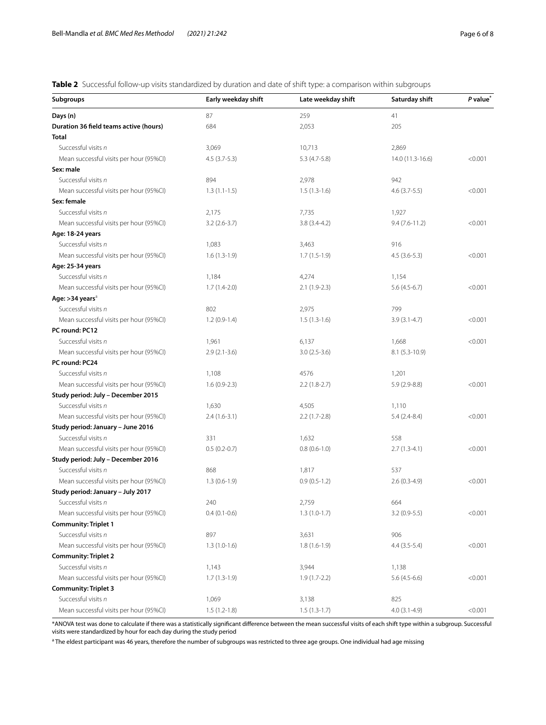<span id="page-5-0"></span>**Table 2** Successful follow-up visits standardized by duration and date of shift type: a comparison within subgroups

| <b>Subgroups</b>                        | Early weekday shift | Late weekday shift | Saturday shift   | P value <sup>®</sup> |
|-----------------------------------------|---------------------|--------------------|------------------|----------------------|
| Days (n)                                | 87                  | 259                | 41               |                      |
| Duration 36 field teams active (hours)  | 684                 | 2,053              | 205              |                      |
| Total                                   |                     |                    |                  |                      |
| Successful visits n                     | 3,069               | 10,713             | 2,869            |                      |
| Mean successful visits per hour (95%CI) | $4.5(3.7-5.3)$      | $5.3(4.7-5.8)$     | 14.0 (11.3-16.6) | < 0.001              |
| Sex: male                               |                     |                    |                  |                      |
| Successful visits n                     | 894                 | 2,978              | 942              |                      |
| Mean successful visits per hour (95%CI) | $1.3(1.1-1.5)$      | $1.5(1.3-1.6)$     | $4.6(3.7-5.5)$   | < 0.001              |
| Sex: female                             |                     |                    |                  |                      |
| Successful visits n                     | 2,175               | 7,735              | 1,927            |                      |
| Mean successful visits per hour (95%CI) | $3.2(2.6-3.7)$      | $3.8(3.4-4.2)$     | $9.4(7.6-11.2)$  | < 0.001              |
| Age: 18-24 years                        |                     |                    |                  |                      |
| Successful visits n                     | 1,083               | 3,463              | 916              |                      |
| Mean successful visits per hour (95%CI) | $1.6(1.3-1.9)$      | $1.7(1.5-1.9)$     | $4.5(3.6-5.3)$   | < 0.001              |
| Age: 25-34 years                        |                     |                    |                  |                      |
| Successful visits n                     | 1,184               | 4,274              | 1,154            |                      |
| Mean successful visits per hour (95%CI) | $1.7(1.4-2.0)$      | $2.1(1.9-2.3)$     | $5.6(4.5-6.7)$   | < 0.001              |
| Age: >34 years <sup>a</sup>             |                     |                    |                  |                      |
| Successful visits n                     | 802                 | 2,975              | 799              |                      |
| Mean successful visits per hour (95%CI) | $1.2(0.9-1.4)$      | $1.5(1.3-1.6)$     | $3.9(3.1-4.7)$   | < 0.001              |
| PC round: PC12                          |                     |                    |                  |                      |
| Successful visits n                     | 1,961               | 6,137              | 1,668            | < 0.001              |
| Mean successful visits per hour (95%CI) | $2.9(2.1-3.6)$      | $3.0(2.5-3.6)$     | $8.1(5.3-10.9)$  |                      |
| PC round: PC24                          |                     |                    |                  |                      |
| Successful visits n                     | 1,108               | 4576               | 1,201            |                      |
| Mean successful visits per hour (95%CI) | $1.6(0.9-2.3)$      | $2.2(1.8-2.7)$     | $5.9(2.9-8.8)$   | < 0.001              |
| Study period: July - December 2015      |                     |                    |                  |                      |
| Successful visits n                     | 1,630               | 4,505              | 1,110            |                      |
| Mean successful visits per hour (95%CI) | $2.4(1.6-3.1)$      | $2.2(1.7-2.8)$     | $5.4(2.4-8.4)$   | < 0.001              |
| Study period: January - June 2016       |                     |                    |                  |                      |
| Successful visits n                     | 331                 | 1,632              | 558              |                      |
| Mean successful visits per hour (95%CI) | $0.5(0.2-0.7)$      | $0.8(0.6-1.0)$     | $2.7(1.3-4.1)$   | < 0.001              |
| Study period: July - December 2016      |                     |                    |                  |                      |
| Successful visits n                     | 868                 | 1,817              | 537              |                      |
| Mean successful visits per hour (95%CI) | $1.3(0.6-1.9)$      | $0.9(0.5-1.2)$     | $2.6(0.3-4.9)$   | < 0.001              |
| Study period: January - July 2017       |                     |                    |                  |                      |
| Successful visits n                     | 240                 | 2,759              | 664              |                      |
| Mean successful visits per hour (95%CI) | $0.4(0.1-0.6)$      | $1.3(1.0-1.7)$     | $3.2(0.9-5.5)$   | < 0.001              |
| <b>Community: Triplet 1</b>             |                     |                    |                  |                      |
| Successful visits n                     | 897                 | 3,631              | 906              |                      |
| Mean successful visits per hour (95%CI) | $1.3(1.0-1.6)$      | $1.8(1.6-1.9)$     | $4.4(3.5-5.4)$   | < 0.001              |
| <b>Community: Triplet 2</b>             |                     |                    |                  |                      |
| Successful visits n                     | 1,143               | 3,944              | 1,138            |                      |
| Mean successful visits per hour (95%CI) | $1.7(1.3-1.9)$      | $1.9(1.7-2.2)$     | $5.6(4.5-6.6)$   | < 0.001              |
| <b>Community: Triplet 3</b>             |                     |                    |                  |                      |
| Successful visits n                     | 1,069               | 3,138              | 825              |                      |
| Mean successful visits per hour (95%CI) | $1.5(1.2-1.8)$      | $1.5(1.3-1.7)$     | $4.0(3.1-4.9)$   | < 0.001              |

\*ANOVA test was done to calculate if there was a statistically signifcant diference between the mean successful visits of each shift type within a subgroup. Successful visits were standardized by hour for each day during the study period

<sup>a</sup> The eldest participant was 46 years, therefore the number of subgroups was restricted to three age groups. One individual had age missing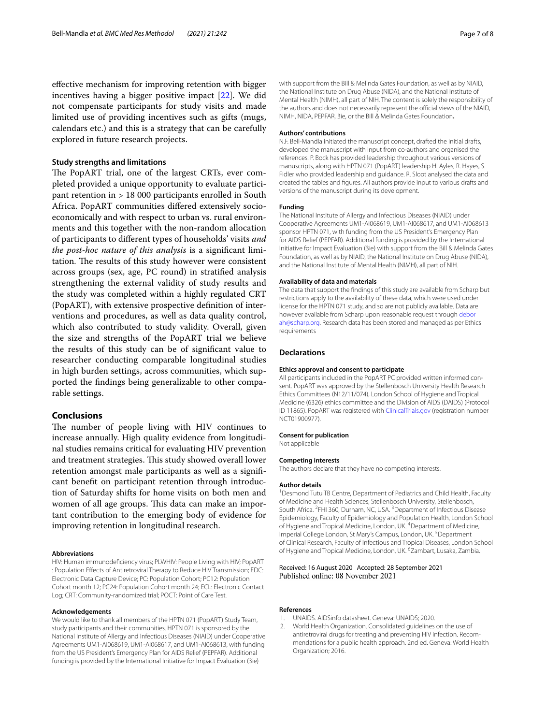efective mechanism for improving retention with bigger incentives having a bigger positive impact [[22\]](#page-7-16). We did not compensate participants for study visits and made limited use of providing incentives such as gifts (mugs, calendars etc.) and this is a strategy that can be carefully explored in future research projects.

#### **Study strengths and limitations**

The PopART trial, one of the largest CRTs, ever completed provided a unique opportunity to evaluate participant retention in > 18 000 participants enrolled in South Africa. PopART communities difered extensively socioeconomically and with respect to urban vs. rural environments and this together with the non-random allocation of participants to diferent types of households' visits *and the post-hoc nature of this analysis* is a signifcant limitation. The results of this study however were consistent across groups (sex, age, PC round) in stratifed analysis strengthening the external validity of study results and the study was completed within a highly regulated CRT (PopART), with extensive prospective defnition of interventions and procedures, as well as data quality control, which also contributed to study validity. Overall, given the size and strengths of the PopART trial we believe the results of this study can be of signifcant value to researcher conducting comparable longitudinal studies in high burden settings, across communities, which supported the fndings being generalizable to other comparable settings.

#### **Conclusions**

The number of people living with HIV continues to increase annually. High quality evidence from longitudinal studies remains critical for evaluating HIV prevention and treatment strategies. This study showed overall lower retention amongst male participants as well as a signifcant beneft on participant retention through introduction of Saturday shifts for home visits on both men and women of all age groups. This data can make an important contribution to the emerging body of evidence for improving retention in longitudinal research.

#### **Abbreviations**

HIV: Human immunodefciency virus; PLWHIV: People Living with HIV; PopART : Population Efects of Antiretroviral Therapy to Reduce HIV Transmission; EDC: Electronic Data Capture Device; PC: Population Cohort; PC12: Population Cohort month 12; PC24: Population Cohort month 24; ECL: Electronic Contact Log; CRT: Community-randomized trial; POCT: Point of Care Test.

#### **Acknowledgements**

We would like to thank all members of the HPTN 071 (PopART) Study Team, study participants and their communities. HPTN 071 is sponsored by the National Institute of Allergy and Infectious Diseases (NIAID) under Cooperative Agreements UM1-AI068619, UM1-AI068617, and UM1-AI068613, with funding from the US President's Emergency Plan for AIDS Relief (PEPFAR). Additional funding is provided by the International Initiative for Impact Evaluation (3ie)

with support from the Bill & Melinda Gates Foundation, as well as by NIAID, the National Institute on Drug Abuse (NIDA), and the National Institute of Mental Health (NIMH), all part of NIH. The content is solely the responsibility of the authors and does not necessarily represent the official views of the NIAID, NIMH, NIDA, PEPFAR, 3ie, or the Bill & Melinda Gates Foundation**.**

#### **Authors' contributions**

N.F. Bell-Mandla initiated the manuscript concept, drafted the initial drafts, developed the manuscript with input from co-authors and organised the references. P. Bock has provided leadership throughout various versions of manuscripts, along with HPTN 071 (PopART) leadership H. Ayles, R. Hayes, S. Fidler who provided leadership and guidance. R. Sloot analysed the data and created the tables and fgures. All authors provide input to various drafts and versions of the manuscript during its development.

#### **Funding**

The National Institute of Allergy and Infectious Diseases (NIAID) under Cooperative Agreements UM1-AI068619, UM1-AI068617, and UM1-AI068613 sponsor HPTN 071, with funding from the US President's Emergency Plan for AIDS Relief (PEPFAR). Additional funding is provided by the International Initiative for Impact Evaluation (3ie) with support from the Bill & Melinda Gates Foundation, as well as by NIAID, the National Institute on Drug Abuse (NIDA), and the National Institute of Mental Health (NIMH), all part of NIH.

#### **Availability of data and materials**

The data that support the fndings of this study are available from Scharp but restrictions apply to the availability of these data, which were used under license for the HPTN 071 study, and so are not publicly available. Data are however available from Scharp upon reasonable request through [debor](deborah@scharp.org) [ah@scharp.org.](deborah@scharp.org) Research data has been stored and managed as per Ethics requirements

#### **Declarations**

#### **Ethics approval and consent to participate**

All participants included in the PopART PC provided written informed consent. PopART was approved by the Stellenbosch University Health Research Ethics Committees (N12/11/074), London School of Hygiene and Tropical Medicine (6326) ethics committee and the Division of AIDS (DAIDS) (Protocol ID 11865). PopART was registered with [ClinicalTrials.gov](http://clinicaltrials.gov) (registration number NCT01900977).

#### **Consent for publication**

Not applicable

#### **Competing interests**

The authors declare that they have no competing interests.

#### **Author details**

<sup>1</sup> Desmond Tutu TB Centre, Department of Pediatrics and Child Health, Faculty of Medicine and Health Sciences, Stellenbosch University, Stellenbosch, South Africa. <sup>2</sup>FHI 360, Durham, NC, USA. <sup>3</sup> Department of Infectious Disease Epidemiology, Faculty of Epidemiology and Population Health, London School of Hygiene and Tropical Medicine, London, UK. <sup>4</sup> Department of Medicine, Imperial College London, St Mary's Campus, London, UK.<sup>5</sup> Department of Clinical Research, Faculty of Infectious and Tropical Diseases, London School of Hygiene and Tropical Medicine, London, UK. <sup>6</sup> Zambart, Lusaka, Zambia.

# Received: 16 August 2020 Accepted: 28 September 2021

#### **References**

- <span id="page-6-0"></span>UNAIDS. AIDSinfo datasheet. Geneva: UNAIDS; 2020.
- <span id="page-6-1"></span>2. World Health Organization. Consolidated guidelines on the use of antiretroviral drugs for treating and preventing HIV infection. Recommendations for a public health approach. 2nd ed. Geneva: World Health Organization; 2016.